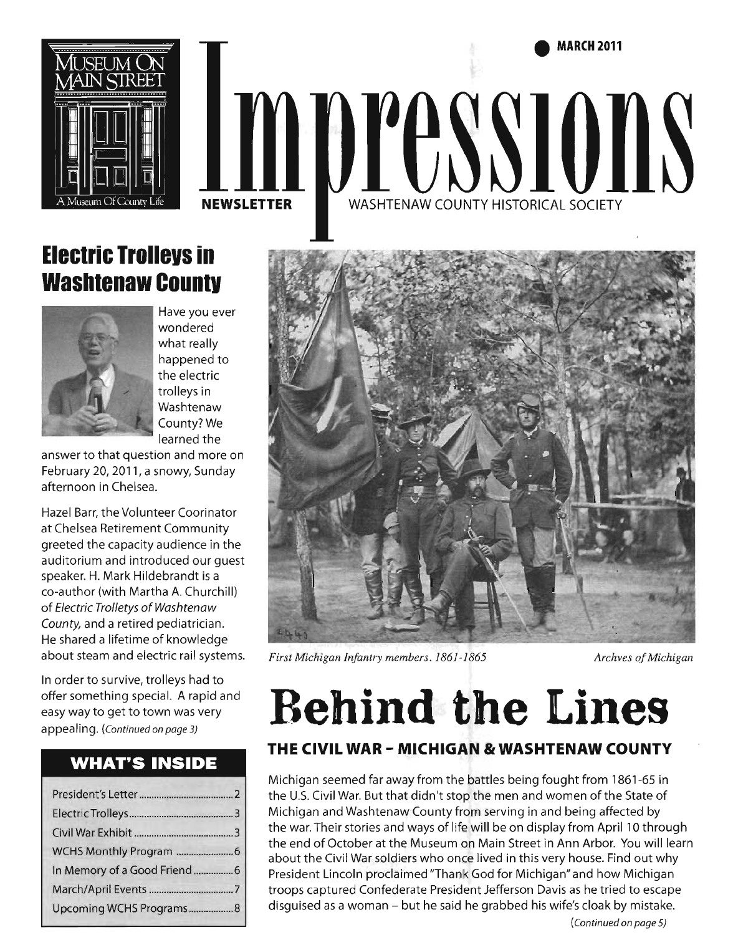**• MARCH2011** 



# WASHTENAW COUNTY HISTORICAL SOCIETY **NEWSLETTER**

### **Electric Irollevs in Washtenaw Countv**



Have you ever wondered what really happened to the electric trolleys in Washtenaw County? We learned the

answer to that question and more on February 20, 2011, a snowy, Sunday afternoon in Chelsea.

Hazel Barr, the Volunteer Coorinator at Chelsea Retirement Community greeted the capacity audience in the auditorium and introduced our guest speaker. H. Mark Hildebrandt is a co-author (with Martha A. Churchill) of Electric Trolletys of Washtenaw County, and a retired pediatrician. He shared a lifetime of knowledge about steam and electric rail systems.

In order to survive, trolleys had to offer something special. A rapid and easy way to get to town was very appealing. (Continued on page 3)

#### **WHAT'S INSIDE**

| Upcoming WCHS Programs8 |  |
|-------------------------|--|



*First Michigan Infantry members. 1861-1865 Archves of Michigan* 

# **Behind the Lines**

#### **THE CIVIL WAR - MICHIGAN & WASHTENAW COUNTY**

Michigan seemed far away from the battles being fought from 1861-65 in the U.S. Civil War. But that didn't stop the men and women of the State of Michigan and Washtenaw County from serving in and being affected by the war. Their stories and ways of life will be on display from April 10 through the end of October at the Museum on Main Street in Ann Arbor. You will learn about the Civil War soldiers who once lived in this very house. Find out why President Lincoln proclaimed "Thank God for Michigan" and how Michigan troops captured Confederate President Jefferson Davis as he tried to escape disguised as a woman - but he said he grabbed his wife's cloak by mistake.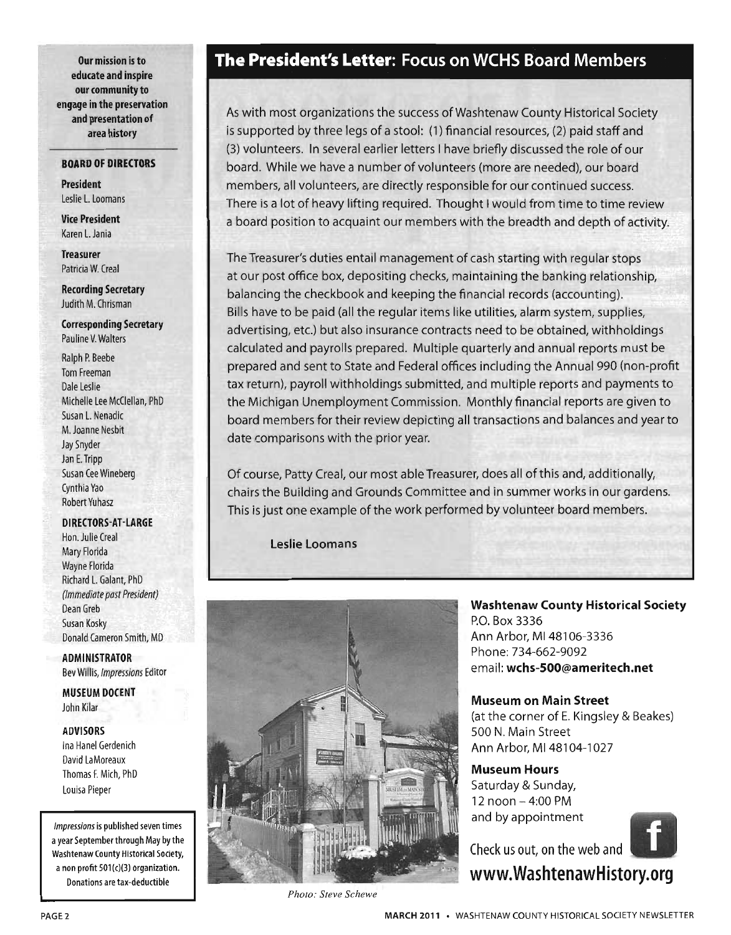Our mission is to educate and inspire our community to engage in the preservation and presentation of area history

#### BOARD OF DIRECTORS

President Leslie L. Loomans

Vice President Karen L.Jania

Treasurer Patricia W. Creal

Recording Secretary Judith M. Chrisman

Corresponding Secretary Pauline V. Walters

Ralph P. Beebe Tom Freeman Dale Leslie Michelle Lee McClellan, PhD Susan L. Nenadic M. Joanne Nesbit Jay Snyder Jan E. Tripp Susan Cee Wineberg Cynthia Yao Robert Yuhasz

#### DIRECTORS-AT-LARGE

Hon. Julie Creal Mary Florida Wayne Florida Richard L. Galant, PhD (Immediate past President) Dean Greb Susan Kosky Donald Cameron Smith, MD

ADMINISTRATOR Bev Willis, Impressions Editor

MUSEUM DOCENT John Kilar

#### ADVISORS

Ina Hanel Gerdenich David LaMoreaux Thomas F. Mich, PhD Louisa Pieper

Impressions is published seven times a year September through May by the Washtenaw county Historical Society, a non profit 501(c)(3) organization. Donations are tax-deductible

#### **The** President's Letter: Focus on WCHS Board Members

As with most organizations the success of Washtenaw County Historical Society is supported by three legs of a stool: (1) financial resources, (2) paid staff and (3) volunteers. In several earlier letters I have briefly discussed the role of our board. While we have a number of volunteers (more are needed), our board members, all volunteers, are directly responsible for our continued success. There is a lot of heavy lifting required. Thought I would from time to time review a board position to acquaint our members with the breadth and depth of activity.

The Treasurer's duties entail management of cash starting with regular stops at our post office box, depositing checks, maintaining the banking relationship, balancing the checkbook and keeping the financial records (accounting). Bills have to be paid (all the regular items like utilities, alarm system, supplies, advertising, etc.) but also insurance contracts need to be obtained, withholdings calculated and payrolls prepared. Multiple quarterly and annual reports must be prepared and sent to State and Federal offices including the Annual 990 (non-profit tax return), payroll withholdings submitted, and multiple reports and payments to the Michigan Unemployment Commission. Monthly financial reports are given to board members for their review depicting all transactions and balances and year to date comparisons with the prior year.

Of course, Patty Creal, our most able Treasurer, does all of this and, additionally, chairs the Building and Grounds Committee and in summer works in our gardens. This is just one example of the work performed by volunteer board members.

Leslie Loomans



Washtenaw County Historical Society P.O. Box 3336 Ann Arbor, MI 48106-3336 Phone: 734-662-9092 email: wchs-SOO@ameritech.net

Museum on Main Street (at the corner of E. Kingsley & Beakes) 500 N. Main Street Ann Arbor, MI 48104-1027

Museum Hours Saturday & Sunday, 12 noon - 4:00 PM and by appointment



www.WashtenawHistory.org

*Photo: Steve Schewe*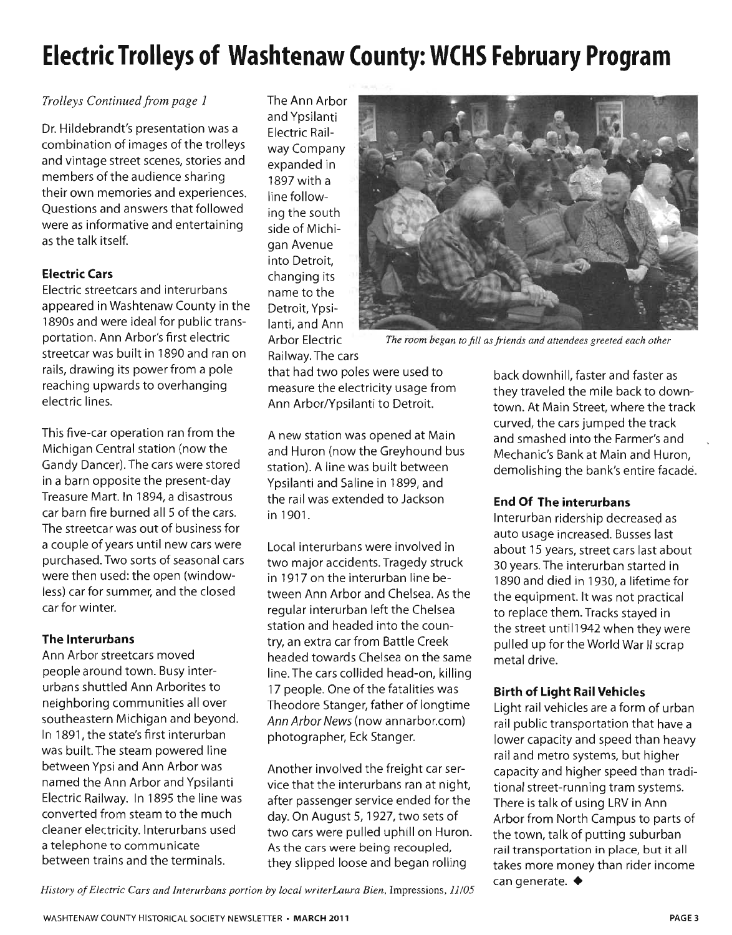### **Electric Trolleys of Washtenaw County: WCHS February Program**

#### *Trolleys Continued from page 1*

Dr. Hildebrandt's presentation was a combination of images of the trolleys and vintage street scenes, stories and members of the audience sharing their own memories and experiences. Questions and answers that followed were as informative and entertaining as the talk itself.

#### **Electric Cars**

Electric streetcars and interurbans appeared in Washtenaw County in the 1890s and were ideal for public transportation. Ann Arbor's first electric streetcar was built in 1890 and ran on rails, drawing its power from a pole reaching upwards to overhanging electric lines.

This five-car operation ran from the Michigan Central station (now the Gandy Dancer). The cars were stored in a barn opposite the present-day Treasure Mart. In 1894, a disastrous car barn fire burned all 5 of the cars. The streetcar was out of business for a couple of years until new cars were purchased. Two sorts of seasonal cars were then used: the open (windowless) car for summer, and the closed car for winter.

#### **The Interurbans**

Ann Arbor streetcars moved people around town. Busy interurbans shuttled Ann Arborites to neighboring communities all over southeastern Michigan and beyond. In 1891, the state's first interurban was built. The steam powered line between Ypsi and Ann Arbor was named the Ann Arbor and Ypsilanti Electric Railway. In 1895 the line was converted from steam to the much cleaner electricity. lnterurbans used a telephone to communicate between trains and the terminals.

The Ann Arbor and Ypsilanti Electric Railway Company expanded in 1897 with a line following the south side of Michigan Avenue into Detroit, changing its name to the Detroit, Ypsilanti, and Ann Railway. The cars



Arbor Electric *The room began to fill as friends and attendees greeted each other* 

that had two poles were used to measure the electricity usage from Ann Arbor/Ypsilanti to Detroit.

A new station was opened at Main and Huron (now the Greyhound bus station). A line was built between Ypsilanti and Saline in 1899, and the rail was extended to Jackson in 1901.

Local interurbans were involved in two major accidents. Tragedy struck in 1917 on the interurban line between Ann Arbor and Chelsea. As the regular interurban left the Chelsea station and headed into the country, an extra car from Battle Creek headed towards Chelsea on the same line. The cars collided head-on, killing 17 people. One of the fatalities was Theodore Stanger, father of longtime Ann Arbor News (now annarbor.com) photographer, Eck Stanger.

Another involved the freight car service that the interurbans ran at night, after passenger service ended for the day. On August 5, 1927, two sets of two cars were pulled uphill on Huron. As the cars were being recoupled, they slipped loose and began rolling

back downhill, faster and faster as they traveled the mile back to downtown. At Main Street, where the track curved, the cars jumped the track and smashed into the Farmer's and Mechanic's Bank at Main and Huron, demolishing the bank's entire facade.

#### **End Of The interurbans**

Interurban ridership decreased as auto usage increased. Busses last about 15 years, street cars last about 30 years. The interurban started in 1890 and died in 1930, a lifetime for the equipment. It was not practical to replace them. Tracks stayed in the street until1942 when they were pulled up for the World War II scrap metal drive.

#### **Birth of Light Rail Vehicles**

Light rail vehicles are a form of urban rail public transportation that have a lower capacity and speed than heavy rail and metro systems, but higher capacity and higher speed than traditional street-running tram systems. There is talk of using LRV in Ann Arbor from North Campus to parts of the town, talk of putting suburban rail transportation in place, but it all takes more money than rider income can generate.  $\blacklozenge$ 

*History of Electric Cars and Interurbans portion by local writerLaura Bien,* Impressions, *11/05*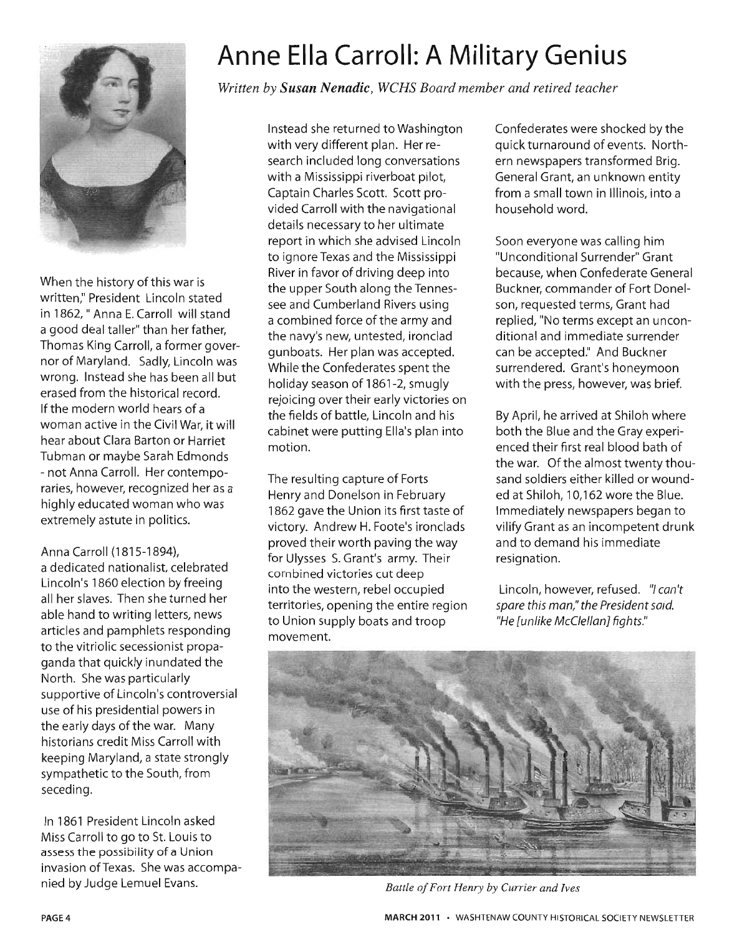

When the history of this war is written," President Lincoln stated in 1862, " Anna E. Carroll will stand a good deal taller" than her father, Thomas King Carroll, a former governor of Maryland. Sadly, Lincoln was wrong. Instead she has been all but erased from the historical record. If the modern world hears of a woman active in the Civil War, it will hear about Clara Barton or Harriet Tubman or maybe Sarah Edmonds - not Anna Carroll. Her contemporaries, however, recognized her as a highly educated woman who was extremely astute in politics.

#### Anna Carroll (1815-1894),

a dedicated nationalist, celebrated Lincoln's 1860 election by freeing all her slaves. Then she turned her able hand to writing letters, news articles and pamphlets responding to the vitriolic secessionist propaganda that quickly inundated the North. She was particularly supportive of Lincoln's controversial use of his presidential powers in the early days of the war. Many historians credit Miss Carroll with keeping Maryland, a state strongly sympathetic to the South, from seceding.

In 1861 President Lincoln asked Miss Carroll to go to St. Louis to assess the possibility of a Union invasion of Texas. She was accompanied by Judge Lemuel Evans.

### **Anne Ella Carroll: A Military Genius**

*Written by Susan Nenadic, WCHS Board member and retired teacher* 

Instead she returned to Washington with very different plan. Her research included long conversations with a Mississippi riverboat pilot, Captain Charles Scott. Scott provided Carroll with the navigational details necessary to her ultimate report in which she advised Lincoln to ignore Texas and the Mississippi River in favor of driving deep into the upper South along the Tennessee and Cumberland Rivers using a combined force of the army and the navy's new, untested, ironclad gunboats. Her plan was accepted. While the Confederates spent the holiday season of 1861-2, smugly rejoicing over their early victories on the fields of battle, Lincoln and his cabinet were putting Ella's plan into motion.

The resulting capture of Forts Henry and Donelson in February 1862 gave the Union its first taste of victory. Andrew H. Foote's ironclads proved their worth paving the way for Ulysses S. Grant's army. Their combined victories cut deep into the western, rebel occupied territories, opening the entire region to Union supply boats and troop movement.

Confederates were shocked by the quick turnaround of events. Northern newspapers transformed Brig. General Grant, an unknown entity from a small town in Illinois, into a household word.

Soon everyone was calling him "Unconditional Surrender" Grant because, when Confederate General Buckner, commander of Fort Donelson, requested terms, Grant had replied, "No terms except an unconditional and immediate surrender can be accepted." And Buckner surrendered. Grant's honeymoon with the press, however, was brief.

By April, he arrived at Shiloh where both the Blue and the Gray experienced their first real blood bath of the war. Of the almost twenty thousand soldiers either killed or wounded at Shiloh, 10,162 wore the Blue. Immediately newspapers began to vilify Grant as an incompetent drunk and to demand his immediate resignation.

Lincoln, however, refused. "I can't spare this man," the President said. "He lunlike McClellan1 fights."



*Battle of Fort Henry by Currier and Ives*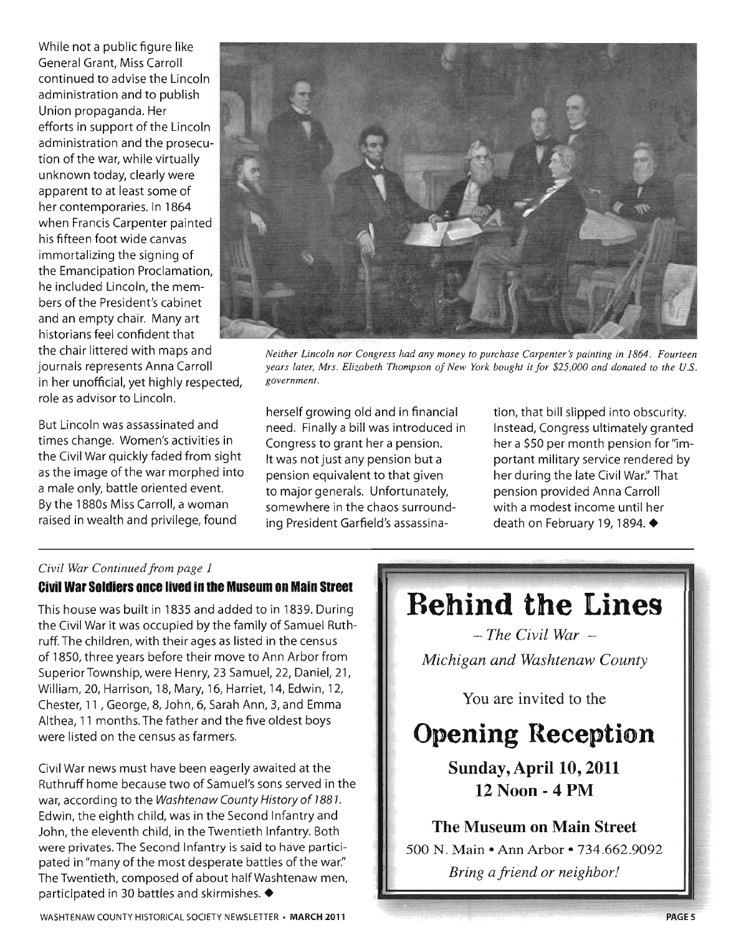While not a public figure like General Grant, Miss Carroll continued to advise the Lincoln administration and to publish Union propaganda. Her efforts in support of the Lincoln administration and the prosecution of the war, while virtually unknown today, clearly were apparent to at least some of her contemporaries. In 1864 when Francis Carpenter painted his fifteen foot wide canvas immortalizing the signing of the Emancipation Proclamation, he included Lincoln, the members of the President's cabinet and an empty chair. Many art historians feel confident that the chair littered with maps and journals represents Anna Carroll in her unofficial, yet highly respected, role as advisor to Lincoln.

But Lincoln was assassinated and times change. Women's activities in the Civil War quickly faded from sight as the image of the war morphed into a male only, battle oriented event. By the 1 880s Miss Carroll, a woman raised in wealth and privilege, found



*Neither Lincoln nor Congress had any money to purchase Carpenter's painting in* 1864. *Fourteen years later, Mrs. Elizabeth Thompson of New York bought it for \$25,000 and donated to the U.S. government.* 

herself growing old and in financial need. Finally a bill was introduced in Congress to grant her a pension. It was not just any pension but a pension equivalent to that given to major generals. Unfortunately, somewhere in the chaos surrounding President Garfield's assassination, that bill slipped into obscurity. Instead, Congress ultimately granted her a \$50 per month pension for "important military service rendered by her during the late Civil War." That pension provided Anna Carroll with a modest income until her death on February 19, 1894. ♦

#### Civil *War Continued from page 1*  **Civil War Soldiers once lived in Ihe Museum on Main Sireel**

This house was built in 1835 and added to in 1839. During the Civil War it was occupied by the family of Samuel Ruthruff. The children, with their ages as listed in the census of 1 850, three years before their move to Ann Arbor from Superior Township, were Henry, 23 Samuel, 22, Daniel, 21 , William, 20, Harrison, 18, Mary, 16, Harriet, 14, Edwin, 12, Chester, 11 ,George, 8, John, 6, Sarah Ann, 3, and Emma Althea, 11 months. The father and the five oldest boys were listed on the census as farmers.

Civil War news must have been eagerly awaited at the Ruthruff home because two of Samuel's sons served in the war, according to the Washtenaw County History of 1881. Edwin, the eighth child, was in the Second Infantry and John, the eleventh child, in the Twentieth Infantry. Both were privates. The Second Infantry is said to have participated in "many of the most desperate battles of the war." The Twentieth, composed of about half Washtenaw men, participated in 30 battles and skirmishes.  $\blacklozenge$ 

WASHTENAW COUNTY HISTORICAL SOCIETY NEWSLETTER· **MARCH 2011** 

### **Behind the Lines**

*- The Civil War - Michigan and Washtenaw County* 

You are invited to the

### **Opening Reception**

**Sunday,** April 10, **2011 12 Noon - 4PM** 

**The Museum on Main Street**  500 N. Main • Ann Arbor • 734.662.9092 *Bring a friend or neighbor!*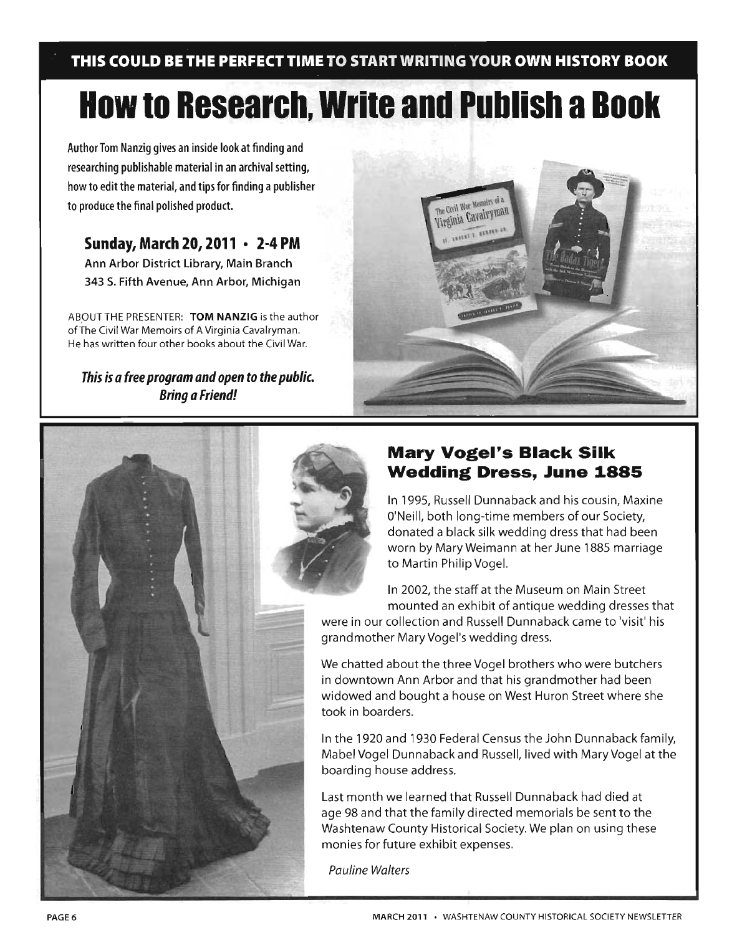**THIS COULD BE THE PERFECT TIME TO START WRITING YOUR OWN HISTORY BOOK** 

## **How to Research, Write and Publish a Book**

Author Tom Nanzig gives an inside look at finding and researching publishable material in an archival setting, how to edit the material, and tips for finding a publisher to produce the final polished product.

#### **Sunday, March 20, 2011 • 2-4 PM**

Ann Arbor District Library, Main Branch 343 S. Fifth Avenue, Ann Arbor, Michigan

ABOUT THE PRESENTER: TOM NANZIG is the author ofThe Civil War Memoirs of A Virginia Cavalryman. He has written four other books about the Civil War.

This is a free program and open to the public. Bring a Friend!





#### **Mary Vogel's Black Silk Wedding Dress, June 1885**

In 1995, Russell Dunnaback and his cousin, Maxine O'Neill, both long-time members of our Society, donated a black silk wedding dress that had been worn by MaryWeimann at her June 1885 marriage to Martin Philip Vogel.

In 2002, the staff at the Museum on Main Street mounted an exhibit of antique wedding dresses that were in our collection and Russell Dunnaback came to 'visit' his

grandmother Mary Vogel's wedding dress.

We chatted about the three Vogel brothers who were butchers in downtown Ann Arbor and that his grandmother had been widowed and bought a house on West Huron Street where she took in boarders.

In the 1920 and 1930 Federal Census the John Dunnaback family, Mabel Vogel Dunnaback and Russell, lived with Mary Vogel at the boarding house address.

Last month we learned that Russell Dunnaback had died at age 98 and that the family directed memorials be sent to the Washtenaw County Historical Society. We plan on using these monies for future exhibit expenses.

Pauline Walters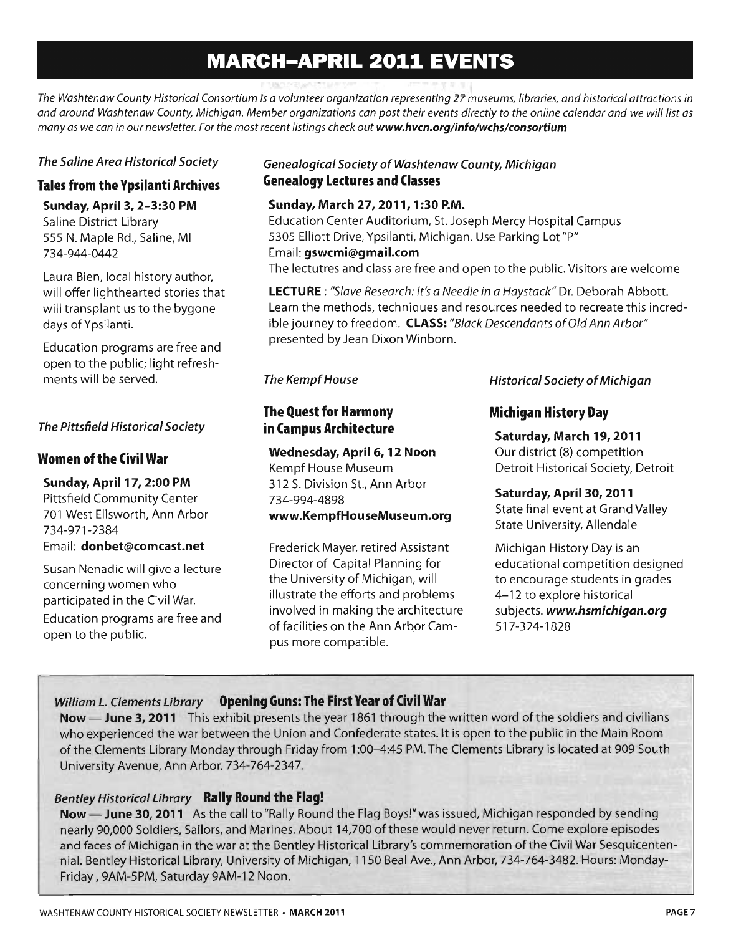### **MARCH-APRIL 2011 EVENTS**

*The Washtenaw County Historical Consortium is a volunteer organization representing* 27 *museums, libraries, and historical attractions in and around Washtenaw County, Michigan. Member organizations can post their events directly* to *the online calendar and* we *will list as many as we can in our newsletter. For the most recent listings check out www.hvcn.org/info/wchs/consortium* 

#### The Saline Area Historical Society

#### Tales from the Ypsilanti Archives

#### Sunday, April 3, 2-3:30 PM

Saline District Library 555 N. Maple Rd., Saline, MI 734-944-0442

Laura Bien, local history author, will offer lighthearted stories that will transplant us to the bygone days of Ypsilanti.

Education programs are free and open to the public; light refreshments will be served.

#### The Pittsfield Historical Society

#### Women of the Civil War

#### Sunday, April 17, 2:00 PM

Pittsfield Community Center 701 West Ellsworth, Ann Arbor 734-971-2384 Email: donbet@comcast.net

Susan Nenadic will give a lecture concerning women who participated in the Civil War. Education programs are free and open to the public.

#### Genealogical Society of Washtenaw County, Michigan Genealogy Lectures and Classes

#### Sunday, March 27, 2011, 1:30 P.M.

Education Center Auditorium, St. Joseph Mercy Hospital Campus 5305 Elliott Drive, Ypsilanti, Michigan. Use Parking Lot"P" Email: gswcmi@gmail.com The lectutres and class are free and open to the public. Visitors are welcome

LECTURE: "Slave Research: It's a Needle in a Haystack" Dr. Deborah Abbott. Learn the methods, techniques and resources needed to recreate this incredible journey to freedom. CLASS: "Black Descendants of Old Ann Arbor" presented by Jean Dixon Winborn.

#### The Kempf House

#### The Quest for Harmony in Campus Architecture

#### Wednesday, April 6, 12 Noon

Kempf House Museum 312 S. Division St., Ann Arbor 734-994-4898 www.KempfHouseMuseum.org

Frederick Mayer, retired Assistant Director of Capital Planning for the University of Michigan, will illustrate the efforts and problems involved in making the architecture offacilities on the Ann Arbor Campus more compatible.

Historical Society of Michigan

#### Michigan History Day

Saturday, March 19,2011 Our district (8) competition Detroit Historical Society, Detroit

Saturday, April 30,2011 State final event at Grand Valley State University, Allendale

Michigan History Day is an educational competition designed to encourage students in grades 4- 12 to explore historical subjects. www.hsmichigan.org 517-324-1828

#### William *L.* Clements Library Opening Guns: The First Year of Civil War

Now - June 3, 2011 This exhibit presents the year 1861 through the written word of the soldiers and civilians who experienced the war between the Union and Confederate states. It is open to the public in the Main Room of the Clements Library Monday through Friday from 1 :00-4:45 PM. The Clements Library is located at 909 South University Avenue, Ann Arbor. 734-764-2347.

#### Bentley Historical Library Rally Round the Flag!

Now - June 30, 2011 As the call to "Rally Round the Flag Boys!" was issued, Michigan responded by sending nearly 90,000 Soldiers, Sailors, and Marines. About 14,700 ofthese would never return. Come explore episodes and faces of Michigan in the war at the Bentley Historical Library's commemoration of the Civil War Sesquicentennial. Bentley Historical Library, University of Michigan, 1150 Beal Ave., Ann Arbor, 734-764-3482. Hours: Monday-Friday, 9AM-5PM, Saturday 9AM-12 Noon.